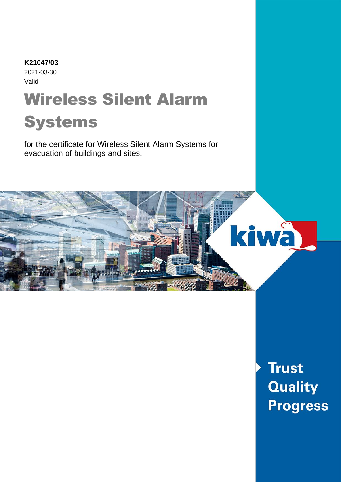# Wireless Silent Alarm **K21047/03** 2021-03-30 Valid

# Systems

for the certificate for Wireless Silent Alarm Systems for evacuation of buildings and sites.



**Trust Quality Progress**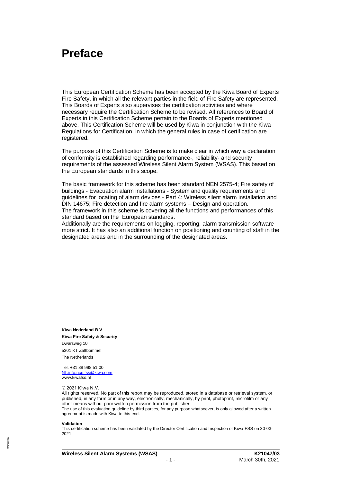# **Preface**

This European Certification Scheme has been accepted by the Kiwa Board of Experts Fire Safety, in which all the relevant parties in the field of Fire Safety are represented. This Boards of Experts also supervises the certification activities and where necessary require the Certification Scheme to be revised. All references to Board of Experts in this Certification Scheme pertain to the Boards of Experts mentioned above. This Certification Scheme will be used by Kiwa in conjunction with the Kiwa-Regulations for Certification, in which the general rules in case of certification are registered.

The purpose of this Certification Scheme is to make clear in which way a declaration of conformity is established regarding performance-, reliability- and security requirements of the assessed Wireless Silent Alarm System (WSAS). This based on the European standards in this scope.

The basic framework for this scheme has been standard NEN 2575-4; Fire safety of buildings - Evacuation alarm installations - System and quality requirements and guidelines for locating of alarm devices - Part 4: Wireless silent alarm installation and DIN 14675; Fire detection and fire alarm systems – Design and operation. The framework in this scheme is covering all the functions and performances of this standard based on the European standards.

Additionally are the requirements on logging, reporting, alarm transmission software more strict. It has also an additional function on positioning and counting of staff in the designated areas and in the surrounding of the designated areas.

**Kiwa Nederland B.V. Kiwa Fire Safety & Security** Dwarsweg 10 5301 KT Zaltbommel The Netherlands

Tel. +31 88 998 51 00 [NL.info.ncp.fss@kiwa.com](mailto:NL.info.ncp.fss@kiwa.com) www.kiwafss.nl

#### © 2021 Kiwa N.V.

All rights reserved. No part of this report may be reproduced, stored in a database or retrieval system, or published, in any form or in any way, electronically, mechanically, by print, photoprint, microfilm or any other means without prior written permission from the publisher.

The use of this evaluation guideline by third parties, for any purpose whatsoever, is only allowed after a written agreement is made with Kiwa to this end.

#### **Validation**

31/180330 591/180330 This certification scheme has been validated by the Director Certification and Inspection of Kiwa FSS on 30-03- 2021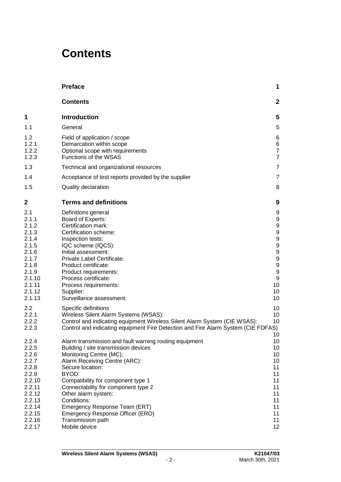# **Contents**

|                                                                                                                                    | <b>Preface</b>                                                                                                                                                                                                                                                                                                                                                                                                        | 1                                                                                                   |
|------------------------------------------------------------------------------------------------------------------------------------|-----------------------------------------------------------------------------------------------------------------------------------------------------------------------------------------------------------------------------------------------------------------------------------------------------------------------------------------------------------------------------------------------------------------------|-----------------------------------------------------------------------------------------------------|
|                                                                                                                                    | <b>Contents</b>                                                                                                                                                                                                                                                                                                                                                                                                       | $\mathbf{2}$                                                                                        |
| 1                                                                                                                                  | <b>Introduction</b>                                                                                                                                                                                                                                                                                                                                                                                                   | 5                                                                                                   |
| 1.1                                                                                                                                | General                                                                                                                                                                                                                                                                                                                                                                                                               | 5                                                                                                   |
| 1.2<br>1.2.1<br>1.2.2<br>1.2.3                                                                                                     | Field of application / scope<br>Demarcation within scope<br>Optional scope with requirements<br>Functions of the WSAS                                                                                                                                                                                                                                                                                                 | 6<br>6<br>$\overline{7}$<br>$\overline{7}$                                                          |
| 1.3                                                                                                                                | Technical and organizational resources                                                                                                                                                                                                                                                                                                                                                                                | 7                                                                                                   |
| 1.4                                                                                                                                | Acceptance of test reports provided by the supplier                                                                                                                                                                                                                                                                                                                                                                   | 7                                                                                                   |
| 1.5                                                                                                                                | Quality declaration                                                                                                                                                                                                                                                                                                                                                                                                   | 8                                                                                                   |
| 2                                                                                                                                  | <b>Terms and definitions</b>                                                                                                                                                                                                                                                                                                                                                                                          | 9                                                                                                   |
| 2.1<br>2.1.1<br>2.1.2<br>2.1.3<br>2.1.4<br>2.1.5<br>2.1.6<br>2.1.7<br>2.1.8<br>2.1.9<br>2.1.10<br>2.1.11<br>2.1.12<br>2.1.13       | Definitions general<br>Board of Experts:<br>Certification mark:<br>Certification scheme:<br>Inspection tests:<br>IQC scheme (IQCS):<br>Initial assessment:<br>Private Label Certificate:<br>Product certificate:<br>Product requirements:<br>Process certificate:<br>Process requirements:<br>Supplier:<br>Surveillance assessment:                                                                                   | 9<br>9<br>9<br>9<br>9<br>9<br>9<br>9<br>9<br>$\boldsymbol{9}$<br>$\boldsymbol{9}$<br>10<br>10<br>10 |
| 2.2<br>2.2.1<br>2.2.2<br>2.2.3                                                                                                     | Specific definitions<br>Wireless Silent Alarm Systems (WSAS):<br>Control and indicating equipment Wireless Silent Alarm System (CIE WSAS):<br>Control and indicating equipment Fire Detection and Fire Alarm System (CIE FDFAS)                                                                                                                                                                                       | 10<br>10<br>10<br>10                                                                                |
| 2.2.4<br>2.2.5<br>2.2.6<br>2.2.7<br>2.2.8<br>2.2.9<br>2.2.10<br>2.2.11<br>2.2.12<br>2.2.13<br>2.2.14<br>2.2.15<br>2.2.16<br>2.2.17 | Alarm transmission and fault warning routing equipment<br>Building / site transmission devices<br>Monitoring Centre (MC);<br>Alarm Receiving Centre (ARC):<br>Secure location:<br>BYOD:<br>Compatibility for component type 1<br>Connectability for component type 2<br>Other alarm system:<br>Conditions:<br>Emergency Response Team (ERT)<br>Emergency Response Officer (ERO)<br>Transmission path<br>Mobile device | 10<br>10<br>10<br>10<br>11<br>11<br>11<br>11<br>11<br>11<br>11<br>11<br>11<br>12                    |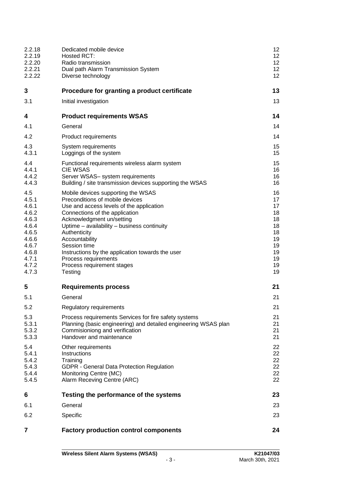| 2.2.18<br>2.2.19                                                                                                | Dedicated mobile device<br>Hosted RCT:                                                                                                                                                                                                                                                                                                                                                                 | 12<br>12 <sub>2</sub>                                                      |
|-----------------------------------------------------------------------------------------------------------------|--------------------------------------------------------------------------------------------------------------------------------------------------------------------------------------------------------------------------------------------------------------------------------------------------------------------------------------------------------------------------------------------------------|----------------------------------------------------------------------------|
| 2.2.20<br>2.2.21<br>2.2.22                                                                                      | Radio transmission<br>Dual path Alarm Transmission System<br>Diverse technology                                                                                                                                                                                                                                                                                                                        | 12 <sub>2</sub><br>12<br>12                                                |
| 3                                                                                                               | Procedure for granting a product certificate                                                                                                                                                                                                                                                                                                                                                           | 13                                                                         |
| 3.1                                                                                                             | Initial investigation                                                                                                                                                                                                                                                                                                                                                                                  | 13                                                                         |
| 4                                                                                                               | <b>Product requirements WSAS</b>                                                                                                                                                                                                                                                                                                                                                                       | 14                                                                         |
| 4.1                                                                                                             | General                                                                                                                                                                                                                                                                                                                                                                                                | 14                                                                         |
| 4.2                                                                                                             | Product requirements                                                                                                                                                                                                                                                                                                                                                                                   | 14                                                                         |
| 4.3<br>4.3.1                                                                                                    | System requirements<br>Loggings of the system                                                                                                                                                                                                                                                                                                                                                          | 15<br>15                                                                   |
| 4.4<br>4.4.1<br>4.4.2<br>4.4.3                                                                                  | Functional requirements wireless alarm system<br><b>CIE WSAS</b><br>Server WSAS- system requirements<br>Building / site transmission devices supporting the WSAS                                                                                                                                                                                                                                       | 15<br>16<br>16<br>16                                                       |
| 4.5<br>4.5.1<br>4.6.1<br>4.6.2<br>4.6.3<br>4.6.4<br>4.6.5<br>4.6.6<br>4.6.7<br>4.6.8<br>4.7.1<br>4.7.2<br>4.7.3 | Mobile devices supporting the WSAS<br>Preconditions of mobile devices<br>Use and access levels of the application<br>Connections of the application<br>Acknowledgment un/setting<br>Uptime - availability - business continuity<br>Authenticity<br>Accountability<br>Session time<br>Instructions by the application towards the user<br>Process requirements<br>Process requirement stages<br>Testing | 16<br>17<br>17<br>18<br>18<br>18<br>18<br>19<br>19<br>19<br>19<br>19<br>19 |
| 5                                                                                                               | <b>Requirements process</b>                                                                                                                                                                                                                                                                                                                                                                            | 21                                                                         |
| 5.1                                                                                                             | General                                                                                                                                                                                                                                                                                                                                                                                                | 21                                                                         |
| 5.2                                                                                                             | Regulatory requirements                                                                                                                                                                                                                                                                                                                                                                                | 21                                                                         |
| 5.3<br>5.3.1<br>5.3.2<br>5.3.3                                                                                  | Process requirements Services for fire safety systems<br>Planning (basic engineering) and detailed engineering WSAS plan<br>Commisioniong and verification<br>Handover and maintenance                                                                                                                                                                                                                 | 21<br>21<br>21<br>21                                                       |
| 5.4<br>5.4.1<br>5.4.2<br>5.4.3<br>5.4.4<br>5.4.5                                                                | Other requirements<br>Instructions<br>Training<br>GDPR - General Data Protection Regulation<br>Monitoring Centre (MC)<br>Alarm Receving Centre (ARC)                                                                                                                                                                                                                                                   | 22<br>22<br>22<br>22<br>22<br>22                                           |
| 6                                                                                                               | Testing the performance of the systems                                                                                                                                                                                                                                                                                                                                                                 | 23                                                                         |
| 6.1                                                                                                             | General                                                                                                                                                                                                                                                                                                                                                                                                | 23                                                                         |
| 6.2                                                                                                             | Specific                                                                                                                                                                                                                                                                                                                                                                                               | 23                                                                         |
| 7                                                                                                               | <b>Factory production control components</b>                                                                                                                                                                                                                                                                                                                                                           | 24                                                                         |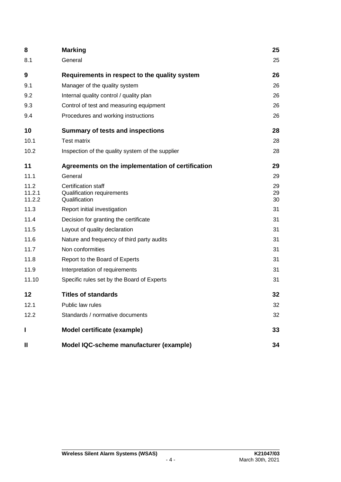| 8                        | <b>Marking</b>                                                     | 25             |
|--------------------------|--------------------------------------------------------------------|----------------|
| 8.1                      | General                                                            | 25             |
| 9                        | Requirements in respect to the quality system                      | 26             |
| 9.1                      | Manager of the quality system                                      | 26             |
| 9.2                      | Internal quality control / quality plan                            | 26             |
| 9.3                      | Control of test and measuring equipment                            | 26             |
| 9.4                      | Procedures and working instructions                                | 26             |
| 10                       | <b>Summary of tests and inspections</b>                            | 28             |
| 10.1                     | <b>Test matrix</b>                                                 | 28             |
| 10.2                     | Inspection of the quality system of the supplier                   | 28             |
| 11                       | Agreements on the implementation of certification                  | 29             |
| 11.1                     | General                                                            | 29             |
| 11.2<br>11.2.1<br>11.2.2 | Certification staff<br>Qualification requirements<br>Qualification | 29<br>29<br>30 |
| 11.3                     | Report initial investigation                                       | 31             |
| 11.4                     | Decision for granting the certificate                              | 31             |
| 11.5                     | Layout of quality declaration                                      | 31             |
| 11.6                     | Nature and frequency of third party audits                         | 31             |
| 11.7                     | Non conformities                                                   | 31             |
| 11.8                     | Report to the Board of Experts                                     | 31             |
| 11.9                     | Interpretation of requirements                                     | 31             |
| 11.10                    | Specific rules set by the Board of Experts                         | 31             |
| 12                       | <b>Titles of standards</b>                                         | 32             |
| 12.1                     | Public law rules                                                   | 32             |
| 12.2                     | Standards / normative documents                                    | 32             |
| ı                        | Model certificate (example)                                        | 33             |
| Ш                        | Model IQC-scheme manufacturer (example)                            | 34             |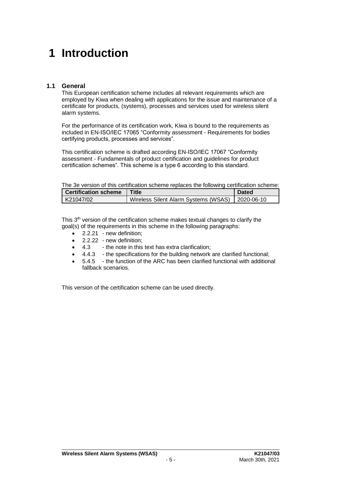# **1 Introduction**

# **1.1 General**

This European certification scheme includes all relevant requirements which are employed by Kiwa when dealing with applications for the issue and maintenance of a certificate for products, (systems), processes and services used for wireless silent alarm systems.

For the performance of its certification work, Kiwa is bound to the requirements as included in EN-ISO/IEC 17065 "Conformity assessment - Requirements for bodies certifying products, processes and services".

This certification scheme is drafted according EN-ISO/IEC 17067 "Conformity assessment - Fundamentals of product certification and guidelines for product certification schemes". This scheme is a type 6 according to this standard.

The 3e version of this certification scheme replaces the following certification scheme:

| <b>Certification scheme</b> | Title                                             | <b>Dated</b> |
|-----------------------------|---------------------------------------------------|--------------|
| K21047/02                   | Wireless Silent Alarm Systems (WSAS)   2020-06-10 |              |

This 3<sup>th</sup> version of the certification scheme makes textual changes to clarify the goal(s) of the requirements in this scheme in the following paragraphs:

- 2.2.21 new definition;
- 2.2.22 new definition;
- 4.3 the note in this text has extra clarification;
- 4.4.3 the specifications for the building network are clarified functional;
- 5.4.5 the function of the ARC has been clarified functional with additional fallback scenarios.

This version of the certification scheme can be used directly.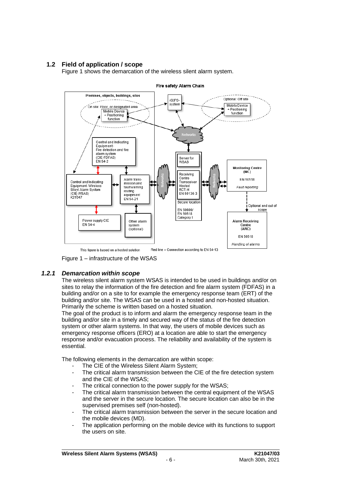# **1.2 Field of application / scope**

Figure 1 shows the demarcation of the wireless silent alarm system.



Fire safety Alarm Chain

This figure is based on a hosted solution

Figure 1 – infrastructure of the WSAS

#### *1.2.1 Demarcation within scope*

The wireless silent alarm system WSAS is intended to be used in buildings and/or on sites to relay the information of the fire detection and fire alarm system (FDFAS) in a building and/or on a site to for example the emergency response team (ERT) of the building and/or site. The WSAS can be used in a hosted and non-hosted situation. Primarily the scheme is written based on a hosted situation.

The goal of the product is to inform and alarm the emergency response team in the building and/or site in a timely and secured way of the status of the fire detection system or other alarm systems. In that way, the users of mobile devices such as emergency response officers (ERO) at a location are able to start the emergency response and/or evacuation process. The reliability and availability of the system is essential.

The following elements in the demarcation are within scope:

- The CIE of the Wireless Silent Alarm System;
- The critical alarm transmission between the CIE of the fire detection system and the CIE of the WSAS;
- The critical connection to the power supply for the WSAS:
- The critical alarm transmission between the central equipment of the WSAS and the server in the secure location. The secure location can also be in the supervised premises self (non-hosted).
- The critical alarm transmission between the server in the secure location and the mobile devices (MD).
- The application performing on the mobile device with its functions to support the users on site.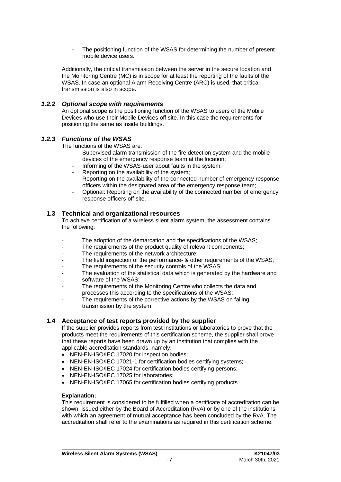The positioning function of the WSAS for determining the number of present mobile device users.

Additionally, the critical transmission between the server in the secure location and the Monitoring Centre (MC) is in scope for at least the reporting of the faults of the WSAS. In case an optional Alarm Receiving Centre (ARC) is used, that critical transmission is also in scope.

#### *1.2.2 Optional scope with requirements*

An optional scope is the positioning function of the WSAS to users of the Mobile Devices who use their Mobile Devices off site. In this case the requirements for positioning the same as inside buildings.

### *1.2.3 Functions of the WSAS*

The functions of the WSAS are:

- Supervised alarm transmission of the fire detection system and the mobile devices of the emergency response team at the location;
- Informing of the WSAS-user about faults in the system;
- Reporting on the availability of the system;
- Reporting on the availability of the connected number of emergency response officers within the designated area of the emergency response team;
- Optional: Reporting on the availability of the connected number of emergency response officers off site.

#### **1.3 Technical and organizational resources**

To achieve certification of a wireless silent alarm system, the assessment contains the following:

- The adoption of the demarcation and the specifications of the WSAS;
- The requirements of the product quality of relevant components;
- The requirements of the network architecture;
- The field inspection of the performance- & other requirements of the WSAS;
- The requirements of the security controls of the WSAS;
- The evaluation of the statistical data which is generated by the hardware and software of the WSAS;
- The requirements of the Monitoring Centre who collects the data and processes this according to the specifications of the WSAS;
- The requirements of the corrective actions by the WSAS on failing transmission by the system.

#### **1.4 Acceptance of test reports provided by the supplier**

If the supplier provides reports from test institutions or laboratories to prove that the products meet the requirements of this certification scheme, the supplier shall prove that these reports have been drawn up by an institution that complies with the applicable accreditation standards, namely:

- NEN-EN-ISO/IEC 17020 for inspection bodies;
- NEN-EN-ISO/IEC 17021-1 for certification bodies certifying systems:
- NEN-EN-ISO/IEC 17024 for certification bodies certifying persons;
- NEN-EN-ISO/IEC 17025 for laboratories;
- NEN-EN-ISO/IEC 17065 for certification bodies certifying products.

#### **Explanation:**

This requirement is considered to be fulfilled when a certificate of accreditation can be shown, issued either by the Board of Accreditation (RvA) or by one of the institutions with which an agreement of mutual acceptance has been concluded by the RvA. The accreditation shall refer to the examinations as required in this certification scheme.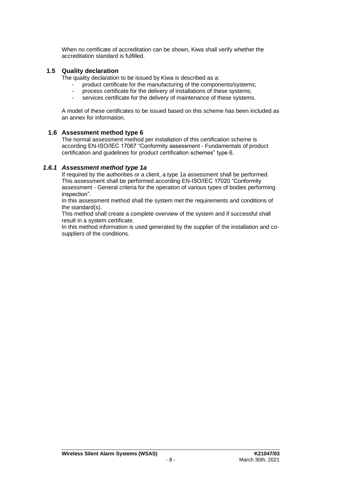When no certificate of accreditation can be shown, Kiwa shall verify whether the accreditation standard is fulfilled.

### **1.5 Quality declaration**

The quality declaration to be issued by Kiwa is described as a:

- product certificate for the manufacturing of the components/systems;
- process certificate for the delivery of installations of these systems;
- services certificate for the delivery of maintenance of these systems.

A model of these certificates to be issued based on this scheme has been included as an annex for information.

#### **1.6 Assessment method type 6**

The normal assessment method per installation of this certification scheme is according EN-ISO/IEC 17067 "Conformity assessment - Fundamentals of product certification and guidelines for product certification schemes" type 6.

### *1.6.1 Assessment method type 1a*

If required by the authorities or a client, a type 1a assessment shall be performed. This assessment shall be performed according EN-ISO/IEC 17020 "Conformity assessment - General criteria for the operation of various types of bodies performing inspection".

In this assessment method shall the system met the requirements and conditions of the standard(s).

This method shall create a complete overview of the system and if successful shall result in a system certificate.

In this method information is used generated by the supplier of the installation and cosuppliers of the conditions.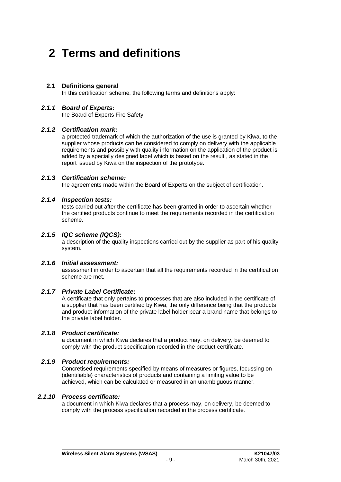# **2 Terms and definitions**

### **2.1 Definitions general**

In this certification scheme, the following terms and definitions apply:

#### *2.1.1 Board of Experts:*

the Board of Experts Fire Safety

### *2.1.2 Certification mark:*

a protected trademark of which the authorization of the use is granted by Kiwa, to the supplier whose products can be considered to comply on delivery with the applicable requirements and possibly with quality information on the application of the product is added by a specially designed label which is based on the result , as stated in the report issued by Kiwa on the inspection of the prototype.

### *2.1.3 Certification scheme:*

the agreements made within the Board of Experts on the subject of certification.

### *2.1.4 Inspection tests:*

tests carried out after the certificate has been granted in order to ascertain whether the certified products continue to meet the requirements recorded in the certification scheme.

### *2.1.5 IQC scheme (IQCS):*

a description of the quality inspections carried out by the supplier as part of his quality system.

# *2.1.6 Initial assessment:*

assessment in order to ascertain that all the requirements recorded in the certification scheme are met.

### *2.1.7 Private Label Certificate:*

A certificate that only pertains to processes that are also included in the certificate of a supplier that has been certified by Kiwa, the only difference being that the products and product information of the private label holder bear a brand name that belongs to the private label holder.

#### *2.1.8 Product certificate:*

a document in which Kiwa declares that a product may, on delivery, be deemed to comply with the product specification recorded in the product certificate.

# *2.1.9 Product requirements:*

Concretised requirements specified by means of measures or figures, focussing on (identifiable) characteristics of products and containing a limiting value to be achieved, which can be calculated or measured in an unambiguous manner.

### *2.1.10 Process certificate:*

a document in which Kiwa declares that a process may, on delivery, be deemed to comply with the process specification recorded in the process certificate.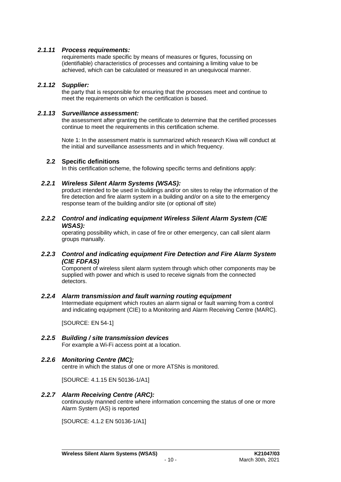# *2.1.11 Process requirements:*

requirements made specific by means of measures or figures, focussing on (identifiable) characteristics of processes and containing a limiting value to be achieved, which can be calculated or measured in an unequivocal manner.

# *2.1.12 Supplier:*

the party that is responsible for ensuring that the processes meet and continue to meet the requirements on which the certification is based.

# *2.1.13 Surveillance assessment:*

the assessment after granting the certificate to determine that the certified processes continue to meet the requirements in this certification scheme.

Note 1: In the assessment matrix is summarized which research Kiwa will conduct at the initial and surveillance assessments and in which frequency.

# **2.2 Specific definitions**

In this certification scheme, the following specific terms and definitions apply:

# *2.2.1 Wireless Silent Alarm Systems (WSAS):*

product intended to be used in buildings and/or on sites to relay the information of the fire detection and fire alarm system in a building and/or on a site to the emergency response team of the building and/or site (or optional off site)

### *2.2.2 Control and indicating equipment Wireless Silent Alarm System (CIE WSAS):*

operating possibility which, in case of fire or other emergency, can call silent alarm groups manually.

# *2.2.3 Control and indicating equipment Fire Detection and Fire Alarm System (CIE FDFAS)*

Component of wireless silent alarm system through which other components may be supplied with power and which is used to receive signals from the connected detectors.

# *2.2.4 Alarm transmission and fault warning routing equipment*

Intermediate equipment which routes an alarm signal or fault warning from a control and indicating equipment (CIE) to a Monitoring and Alarm Receiving Centre (MARC).

[SOURCE: EN 54-1]

# *2.2.5 Building / site transmission devices*

For example a Wi-Fi access point at a location.

# *2.2.6 Monitoring Centre (MC);*

centre in which the status of one or more ATSNs is monitored.

[SOURCE: 4.1.15 EN 50136-1/A1]

# *2.2.7 Alarm Receiving Centre (ARC):*

continuously manned centre where information concerning the status of one or more Alarm System (AS) is reported

[SOURCE: 4.1.2 EN 50136-1/A1]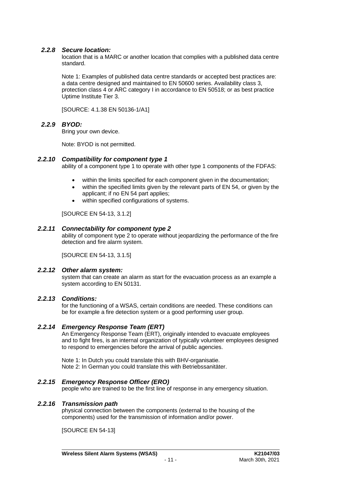### *2.2.8 Secure location:*

location that is a MARC or another location that complies with a published data centre standard.

Note 1: Examples of published data centre standards or accepted best practices are: a data centre designed and maintained to EN 50600 series. Availability class 3, protection class 4 or ARC category I in accordance to EN 50518; or as best practice Uptime Institute Tier 3.

[SOURCE: 4.1.38 EN 50136-1/A1]

# *2.2.9 BYOD:*

Bring your own device.

Note: BYOD is not permitted.

#### *2.2.10 Compatibility for component type 1*

ability of a component type 1 to operate with other type 1 components of the FDFAS:

- within the limits specified for each component given in the documentation:
- within the specified limits given by the relevant parts of EN 54, or given by the applicant; if no EN 54 part applies;
- within specified configurations of systems.

[SOURCE EN 54-13, 3.1.2]

### *2.2.11 Connectability for component type 2*

ability of component type 2 to operate without jeopardizing the performance of the fire detection and fire alarm system.

[SOURCE EN 54-13, 3.1.5]

#### *2.2.12 Other alarm system:*

system that can create an alarm as start for the evacuation process as an example a system according to EN 50131.

### *2.2.13 Conditions:*

for the functioning of a WSAS, certain conditions are needed. These conditions can be for example a fire detection system or a good performing user group.

#### *2.2.14 Emergency Response Team (ERT)*

An Emergency Response Team (ERT), originally intended to evacuate employees and to fight fires, is an internal organization of typically volunteer employees designed to respond to emergencies before the arrival of public agencies.

Note 1: In Dutch you could translate this with BHV-organisatie. Note 2: In German you could translate this with Betriebssanitäter.

#### *2.2.15 Emergency Response Officer (ERO)*

people who are trained to be the first line of response in any emergency situation.

#### *2.2.16 Transmission path*

physical connection between the components (external to the housing of the components) used for the transmission of information and/or power.

[SOURCE EN 54-13]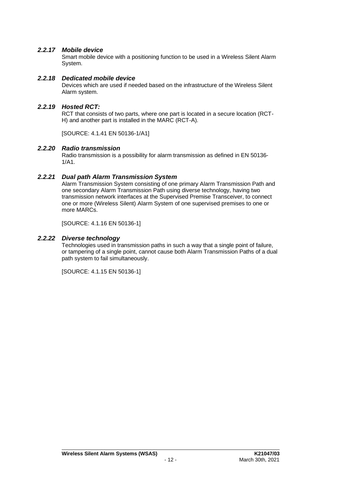# *2.2.17 Mobile device*

Smart mobile device with a positioning function to be used in a Wireless Silent Alarm System.

### *2.2.18 Dedicated mobile device*

Devices which are used if needed based on the infrastructure of the Wireless Silent Alarm system.

# *2.2.19 Hosted RCT:*

RCT that consists of two parts, where one part is located in a secure location (RCT-H) and another part is installed in the MARC (RCT-A).

[SOURCE: 4.1.41 EN 50136-1/A1]

# *2.2.20 Radio transmission*

Radio transmission is a possibility for alarm transmission as defined in EN 50136- 1/A1.

# *2.2.21 Dual path Alarm Transmission System*

Alarm Transmission System consisting of one primary Alarm Transmission Path and one secondary Alarm Transmission Path using diverse technology, having two transmission network interfaces at the Supervised Premise Transceiver, to connect one or more (Wireless Silent) Alarm System of one supervised premises to one or more MARCs.

[SOURCE: 4.1.16 EN 50136-1]

# *2.2.22 Diverse technology*

Technologies used in transmission paths in such a way that a single point of failure, or tampering of a single point, cannot cause both Alarm Transmission Paths of a dual path system to fail simultaneously.

[SOURCE: 4.1.15 EN 50136-1]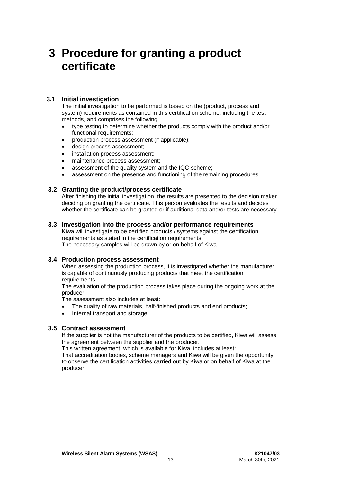# **3 Procedure for granting a product certificate**

# **3.1 Initial investigation**

The initial investigation to be performed is based on the (product, process and system) requirements as contained in this certification scheme, including the test methods, and comprises the following:

- type testing to determine whether the products comply with the product and/or functional requirements;
- production process assessment (if applicable);
- design process assessment:
- installation process assessment;
- maintenance process assessment;
- assessment of the quality system and the IQC-scheme:
- assessment on the presence and functioning of the remaining procedures.

# **3.2 Granting the product/process certificate**

After finishing the initial investigation, the results are presented to the decision maker deciding on granting the certificate. This person evaluates the results and decides whether the certificate can be granted or if additional data and/or tests are necessary.

# **3.3 Investigation into the process and/or performance requirements**

Kiwa will investigate to be certified products / systems against the certification requirements as stated in the certification requirements. The necessary samples will be drawn by or on behalf of Kiwa.

# **3.4 Production process assessment**

When assessing the production process, it is investigated whether the manufacturer is capable of continuously producing products that meet the certification requirements.

The evaluation of the production process takes place during the ongoing work at the producer.

The assessment also includes at least:

- The quality of raw materials, half-finished products and end products;
- Internal transport and storage.

# **3.5 Contract assessment**

If the supplier is not the manufacturer of the products to be certified, Kiwa will assess the agreement between the supplier and the producer.

This written agreement, which is available for Kiwa, includes at least:

That accreditation bodies, scheme managers and Kiwa will be given the opportunity to observe the certification activities carried out by Kiwa or on behalf of Kiwa at the producer.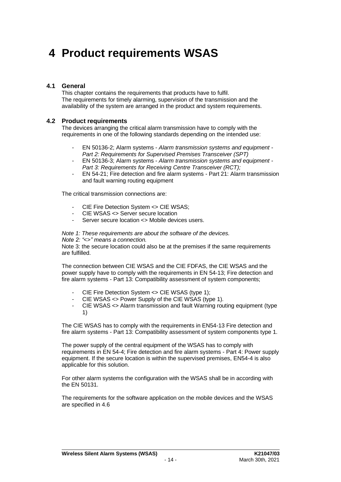# **4 Product requirements WSAS**

### **4.1 General**

This chapter contains the requirements that products have to fulfil. The requirements for timely alarming, supervision of the transmission and the availability of the system are arranged in the product and system requirements.

#### **4.2 Product requirements**

The devices arranging the critical alarm transmission have to comply with the requirements in one of the following standards depending on the intended use:

- EN 50136-2; Alarm systems *Alarm transmission systems and equipment - Part 2: Requirements for Supervised Premises Transceiver (SPT)*
- EN 50136-3; Alarm systems *Alarm transmission systems and equipment - Part 3: Requirements for Receiving Centre Transceiver (RCT);*
- EN 54-21; Fire detection and fire alarm systems Part 21: Alarm transmission and fault warning routing equipment

The critical transmission connections are:

- CIE Fire Detection System <> CIE WSAS;
- CIE WSAS <> Server secure location
- Server secure location <> Mobile devices users.

*Note 1: These requirements are about the software of the devices.*

*Note 2: "<>" means a connection.*

Note 3: the secure location could also be at the premises if the same requirements are fulfilled.

The connection between CIE WSAS and the CIE FDFAS, the CIE WSAS and the power supply have to comply with the requirements in EN 54-13; Fire detection and fire alarm systems - Part 13: Compatibility assessment of system components;

- CIE Fire Detection System <> CIE WSAS (type 1):
- CIE WSAS <> Power Supply of the CIE WSAS (type 1).
- CIE WSAS <> Alarm transmission and fault Warning routing equipment (type 1)

The CIE WSAS has to comply with the requirements in EN54-13 Fire detection and fire alarm systems - Part 13: Compatibility assessment of system components type 1.

The power supply of the central equipment of the WSAS has to comply with requirements in EN 54-4; Fire detection and fire alarm systems - Part 4: Power supply equipment. If the secure location is within the supervised premises, EN54-4 is also applicable for this solution.

For other alarm systems the configuration with the WSAS shall be in according with the EN 50131.

The requirements for the software application on the mobile devices and the WSAS are specified in 4.6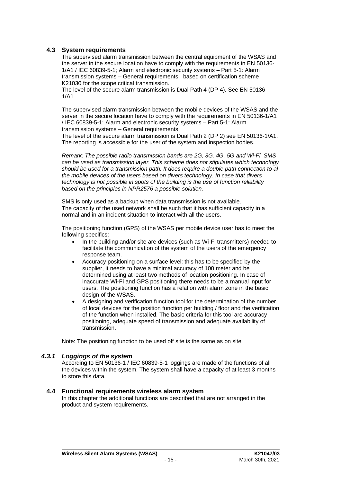# **4.3 System requirements**

The supervised alarm transmission between the central equipment of the WSAS and the server in the secure location have to comply with the requirements in EN 50136- 1/A1 / IEC 60839-5-1; Alarm and electronic security systems – Part 5-1: Alarm transmission systems – General requirements; based on certification scheme K21030 for the scope critical transmission.

The level of the secure alarm transmission is Dual Path 4 (DP 4). See EN 50136- 1/A1.

The supervised alarm transmission between the mobile devices of the WSAS and the server in the secure location have to comply with the requirements in EN 50136-1/A1 / IEC 60839-5-1; Alarm and electronic security systems – Part 5-1: Alarm transmission systems – General requirements;

The level of the secure alarm transmission is Dual Path 2 (DP 2) see EN 50136-1/A1. The reporting is accessible for the user of the system and inspection bodies.

*Remark: The possible radio transmission bands are 2G, 3G, 4G, 5G and Wi-Fi. SMS can be used as transmission layer. This scheme does not stipulates which technology should be used for a transmission path. It does require a double path connection to al the mobile devices of the users based on divers technology. In case that divers technology is not possible in spots of the building is the use of function reliability based on the principles in NPR2576 a possible solution.*

SMS is only used as a backup when data transmission is not available. The capacity of the used network shall be such that it has sufficient capacity in a normal and in an incident situation to interact with all the users.

The positioning function (GPS) of the WSAS per mobile device user has to meet the following specifics:

- In the building and/or site are devices (such as Wi-Fi transmitters) needed to facilitate the communication of the system of the users of the emergency response team.
- Accuracy positioning on a surface level: this has to be specified by the supplier, it needs to have a minimal accuracy of 100 meter and be determined using at least two methods of location positioning. In case of inaccurate Wi-Fi and GPS positioning there needs to be a manual input for users. The positioning function has a relation with alarm zone in the basic design of the WSAS.
- A designing and verification function tool for the determination of the number of local devices for the position function per building / floor and the verification of the function when installed. The basic criteria for this tool are accuracy positioning, adequate speed of transmission and adequate availability of transmission.

Note: The positioning function to be used off site is the same as on site.

#### *4.3.1 Loggings of the system*

According to EN 50136-1 / IEC 60839-5-1 loggings are made of the functions of all the devices within the system. The system shall have a capacity of at least 3 months to store this data.

#### **4.4 Functional requirements wireless alarm system**

In this chapter the additional functions are described that are not arranged in the product and system requirements.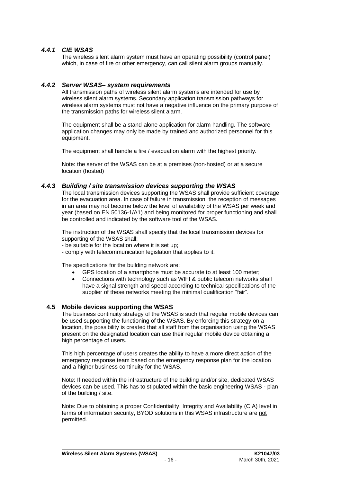# *4.4.1 CIE WSAS*

The wireless silent alarm system must have an operating possibility (control panel) which, in case of fire or other emergency, can call silent alarm groups manually.

### *4.4.2 Server WSAS– system requirements*

All transmission paths of wireless silent alarm systems are intended for use by wireless silent alarm systems. Secondary application transmission pathways for wireless alarm systems must not have a negative influence on the primary purpose of the transmission paths for wireless silent alarm.

The equipment shall be a stand-alone application for alarm handling. The software application changes may only be made by trained and authorized personnel for this equipment.

The equipment shall handle a fire / evacuation alarm with the highest priority.

Note: the server of the WSAS can be at a premises (non-hosted) or at a secure location (hosted)

### *4.4.3 Building / site transmission devices supporting the WSAS*

The local transmission devices supporting the WSAS shall provide sufficient coverage for the evacuation area. In case of failure in transmission, the reception of messages in an area may not become below the level of availability of the WSAS per week and year (based on EN 50136-1/A1) and being monitored for proper functioning and shall be controlled and indicated by the software tool of the WSAS.

The instruction of the WSAS shall specify that the local transmission devices for supporting of the WSAS shall:

- be suitable for the location where it is set up;
- comply with telecommunication legislation that applies to it.

The specifications for the building network are:

- GPS location of a smartphone must be accurate to at least 100 meter;
- Connections with technology such as WIFI & public telecom networks shall have a signal strength and speed according to technical specifications of the supplier of these networks meeting the minimal qualification "fair".

#### **4.5 Mobile devices supporting the WSAS**

The business continuity strategy of the WSAS is such that regular mobile devices can be used supporting the functioning of the WSAS. By enforcing this strategy on a location, the possibility is created that all staff from the organisation using the WSAS present on the designated location can use their regular mobile device obtaining a high percentage of users.

This high percentage of users creates the ability to have a more direct action of the emergency response team based on the emergency response plan for the location and a higher business continuity for the WSAS.

Note: If needed within the infrastructure of the building and/or site, dedicated WSAS devices can be used. This has to stipulated within the basic engineering WSAS - plan of the building / site.

Note: Due to obtaining a proper Confidentiality, Integrity and Availability (CIA) level in terms of information security, BYOD solutions in this WSAS infrastructure are not permitted.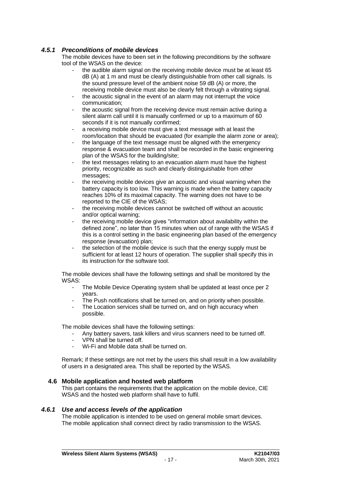# *4.5.1 Preconditions of mobile devices*

The mobile devices have to been set in the following preconditions by the software tool of the WSAS on the device:

- the audible alarm signal on the receiving mobile device must be at least 65 dB (A) at 1 m and must be clearly distinguishable from other call signals. Is the sound pressure level of the ambient noise 59 dB (A) or more, the receiving mobile device must also be clearly felt through a vibrating signal.
- the acoustic signal in the event of an alarm may not interrupt the voice communication;
- the acoustic signal from the receiving device must remain active during a silent alarm call until it is manually confirmed or up to a maximum of 60 seconds if it is not manually confirmed;
- a receiving mobile device must give a text message with at least the room/location that should be evacuated (for example the alarm zone or area);
- the language of the text message must be aligned with the emergency response & evacuation team and shall be recorded in the basic engineering plan of the WSAS for the building/site;
- the text messages relating to an evacuation alarm must have the highest priority, recognizable as such and clearly distinguishable from other messages;
- the receiving mobile devices give an acoustic and visual warning when the battery capacity is too low. This warning is made when the battery capacity reaches 10% of its maximal capacity. The warning does not have to be reported to the CIE of the WSAS;
- the receiving mobile devices cannot be switched off without an acoustic and/or optical warning;
- the receiving mobile device gives "information about availability within the defined zone", no later than 15 minutes when out of range with the WSAS if this is a control setting in the basic engineering plan based of the emergency response (evacuation) plan;
- the selection of the mobile device is such that the energy supply must be sufficient for at least 12 hours of operation. The supplier shall specify this in its instruction for the software tool.

The mobile devices shall have the following settings and shall be monitored by the WSAS:

- The Mobile Device Operating system shall be updated at least once per 2 years.
- The Push notifications shall be turned on, and on priority when possible.
- The Location services shall be turned on, and on high accuracy when possible.

The mobile devices shall have the following settings:

- Any battery savers, task killers and virus scanners need to be turned off.
- VPN shall be turned off.
- Wi-Fi and Mobile data shall be turned on.

Remark; if these settings are not met by the users this shall result in a low availability of users in a designated area. This shall be reported by the WSAS.

# **4.6 Mobile application and hosted web platform**

This part contains the requirements that the application on the mobile device, CIE WSAS and the hosted web platform shall have to fulfil.

# *4.6.1 Use and access levels of the application*

The mobile application is intended to be used on general mobile smart devices. The mobile application shall connect direct by radio transmission to the WSAS.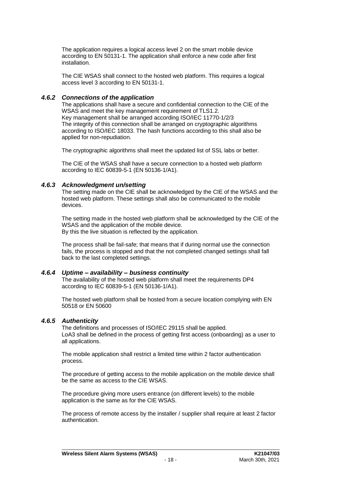The application requires a logical access level 2 on the smart mobile device according to EN 50131-1. The application shall enforce a new code after first installation.

The CIE WSAS shall connect to the hosted web platform. This requires a logical access level 3 according to EN 50131-1.

#### *4.6.2 Connections of the application*

The applications shall have a secure and confidential connection to the CIE of the WSAS and meet the key management requirement of TLS1.2. Key management shall be arranged according ISO/IEC 11770-1/2/3 The integrity of this connection shall be arranged on cryptographic algorithms according to ISO/IEC 18033. The hash functions according to this shall also be applied for non-repudiation.

The cryptographic algorithms shall meet the updated list of SSL labs or better.

The CIE of the WSAS shall have a secure connection to a hosted web platform according to IEC 60839-5-1 (EN 50136-1/A1).

### *4.6.3 Acknowledgment un/setting*

The setting made on the CIE shall be acknowledged by the CIE of the WSAS and the hosted web platform. These settings shall also be communicated to the mobile devices.

The setting made in the hosted web platform shall be acknowledged by the CIE of the WSAS and the application of the mobile device. By this the live situation is reflected by the application.

The process shall be fail-safe; that means that if during normal use the connection fails, the process is stopped and that the not completed changed settings shall fall back to the last completed settings.

#### *4.6.4 Uptime – availability – business continuity*

The availability of the hosted web platform shall meet the requirements DP4 according to IEC 60839-5-1 (EN 50136-1/A1).

The hosted web platform shall be hosted from a secure location complying with EN 50518 or EN 50600

# *4.6.5 Authenticity*

The definitions and processes of ISO/IEC 29115 shall be applied. LoA3 shall be defined in the process of getting first access (onboarding) as a user to all applications.

The mobile application shall restrict a limited time within 2 factor authentication process.

The procedure of getting access to the mobile application on the mobile device shall be the same as access to the CIE WSAS.

The procedure giving more users entrance (on different levels) to the mobile application is the same as for the CIE WSAS.

The process of remote access by the installer / supplier shall require at least 2 factor authentication.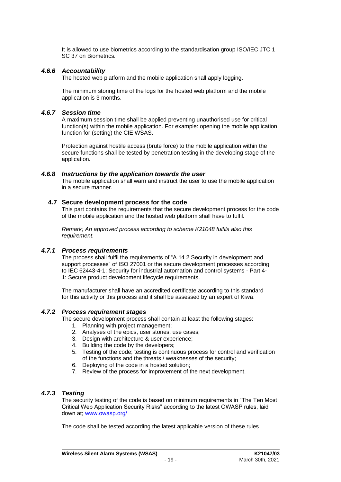It is allowed to use biometrics according to the standardisation group ISO/IEC JTC 1 SC 37 on Biometrics.

#### *4.6.6 Accountability*

The hosted web platform and the mobile application shall apply logging.

The minimum storing time of the logs for the hosted web platform and the mobile application is 3 months.

#### *4.6.7 Session time*

A maximum session time shall be applied preventing unauthorised use for critical function(s) within the mobile application. For example: opening the mobile application function for (setting) the CIE WSAS.

Protection against hostile access (brute force) to the mobile application within the secure functions shall be tested by penetration testing in the developing stage of the application.

#### *4.6.8 Instructions by the application towards the user*

The mobile application shall warn and instruct the user to use the mobile application in a secure manner.

#### **4.7 Secure development process for the code**

This part contains the requirements that the secure development process for the code of the mobile application and the hosted web platform shall have to fulfil.

*Remark; An approved process according to scheme K21048 fulfils also this requirement.* 

#### *4.7.1 Process requirements*

The process shall fulfil the requirements of "A.14.2 Security in development and support processes" of ISO 27001 or the secure development processes according to IEC 62443-4-1; Security for industrial automation and control systems - Part 4- 1: Secure product development lifecycle requirements.

The manufacturer shall have an accredited certificate according to this standard for this activity or this process and it shall be assessed by an expert of Kiwa.

#### *4.7.2 Process requirement stages*

The secure development process shall contain at least the following stages:

- 1. Planning with project management;
- 2. Analyses of the epics, user stories, use cases;
- 3. Design with architecture & user experience;
- 4. Building the code by the developers;
- 5. Testing of the code; testing is continuous process for control and verification of the functions and the threats / weaknesses of the security;
- 6. Deploying of the code in a hosted solution;
- 7. Review of the process for improvement of the next development.

#### *4.7.3 Testing*

The security testing of the code is based on minimum requirements in "The Ten Most Critical Web Application Security Risks" according to the latest OWASP rules, laid down at; [www.owasp.org/](http://www.owasp.org/)

The code shall be tested according the latest applicable version of these rules.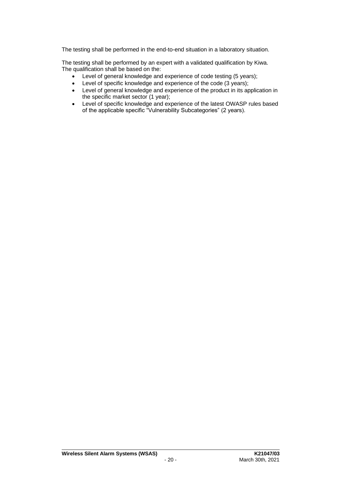The testing shall be performed in the end-to-end situation in a laboratory situation.

The testing shall be performed by an expert with a validated qualification by Kiwa. The qualification shall be based on the:

- Level of general knowledge and experience of code testing (5 years);
- Level of specific knowledge and experience of the code (3 years);
- Level of general knowledge and experience of the product in its application in the specific market sector (1 year);
- Level of specific knowledge and experience of the latest OWASP rules based of the applicable specific "Vulnerability Subcategories" (2 years).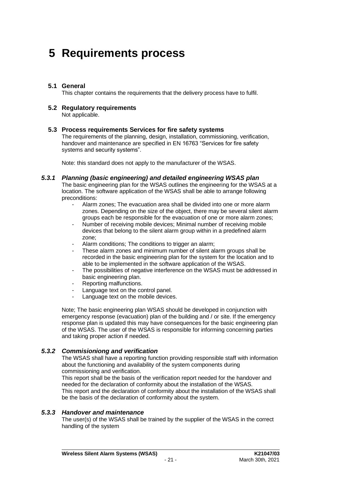# **5 Requirements process**

### **5.1 General**

This chapter contains the requirements that the delivery process have to fulfil.

# **5.2 Regulatory requirements**

Not applicable.

#### **5.3 Process requirements Services for fire safety systems**

The requirements of the planning, design, installation, commissioning, verification, handover and maintenance are specified in EN 16763 "Services for fire safety systems and security systems".

Note: this standard does not apply to the manufacturer of the WSAS.

#### *5.3.1 Planning (basic engineering) and detailed engineering WSAS plan*

The basic engineering plan for the WSAS outlines the engineering for the WSAS at a location. The software application of the WSAS shall be able to arrange following preconditions:

- Alarm zones; The evacuation area shall be divided into one or more alarm zones. Depending on the size of the object, there may be several silent alarm groups each be responsible for the evacuation of one or more alarm zones;
- Number of receiving mobile devices; Minimal number of receiving mobile devices that belong to the silent alarm group within in a predefined alarm zone;
- Alarm conditions; The conditions to trigger an alarm;
- These alarm zones and minimum number of silent alarm groups shall be recorded in the basic engineering plan for the system for the location and to able to be implemented in the software application of the WSAS.
- The possibilities of negative interference on the WSAS must be addressed in basic engineering plan.
- Reporting malfunctions.
- Language text on the control panel.
- Language text on the mobile devices.

Note; The basic engineering plan WSAS should be developed in conjunction with emergency response (evacuation) plan of the building and / or site. If the emergency response plan is updated this may have consequences for the basic engineering plan of the WSAS. The user of the WSAS is responsible for informing concerning parties and taking proper action if needed.

# *5.3.2 Commisioniong and verification*

The WSAS shall have a reporting function providing responsible staff with information about the functioning and availability of the system components during commissioning and verification.

This report shall be the basis of the verification report needed for the handover and needed for the declaration of conformity about the installation of the WSAS. This report and the declaration of conformity about the installation of the WSAS shall be the basis of the declaration of conformity about the system.

#### *5.3.3 Handover and maintenance*

The user(s) of the WSAS shall be trained by the supplier of the WSAS in the correct handling of the system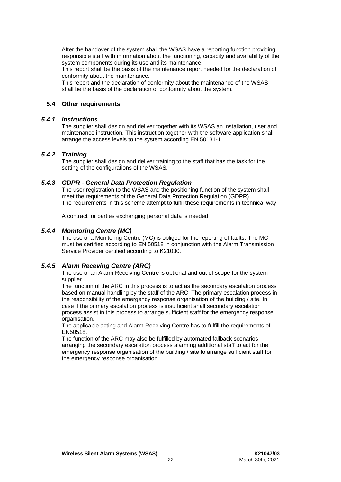After the handover of the system shall the WSAS have a reporting function providing responsible staff with information about the functioning, capacity and availability of the system components during its use and its maintenance.

This report shall be the basis of the maintenance report needed for the declaration of conformity about the maintenance.

This report and the declaration of conformity about the maintenance of the WSAS shall be the basis of the declaration of conformity about the system.

# **5.4 Other requirements**

#### *5.4.1 Instructions*

The supplier shall design and deliver together with its WSAS an installation, user and maintenance instruction. This instruction together with the software application shall arrange the access levels to the system according EN 50131-1.

### *5.4.2 Training*

The supplier shall design and deliver training to the staff that has the task for the setting of the configurations of the WSAS.

### *5.4.3 GDPR - General Data Protection Regulation*

The user registration to the WSAS and the positioning function of the system shall meet the requirements of the General Data Protection Regulation (GDPR). The requirements in this scheme attempt to fulfil these requirements in technical way.

A contract for parties exchanging personal data is needed

### *5.4.4 Monitoring Centre (MC)*

The use of a Monitoring Centre (MC) is obliged for the reporting of faults. The MC must be certified according to EN 50518 in conjunction with the Alarm Transmission Service Provider certified according to K21030.

# *5.4.5 Alarm Receving Centre (ARC)*

The use of an Alarm Receiving Centre is optional and out of scope for the system supplier.

The function of the ARC in this process is to act as the secondary escalation process based on manual handling by the staff of the ARC. The primary escalation process in the responsibility of the emergency response organisation of the building / site. In case if the primary escalation process is insufficient shall secondary escalation process assist in this process to arrange sufficient staff for the emergency response organisation.

The applicable acting and Alarm Receiving Centre has to fulfill the requirements of EN50518.

The function of the ARC may also be fulfilled by automated fallback scenarios arranging the secondary escalation process alarming additional staff to act for the emergency response organisation of the building / site to arrange sufficient staff for the emergency response organisation.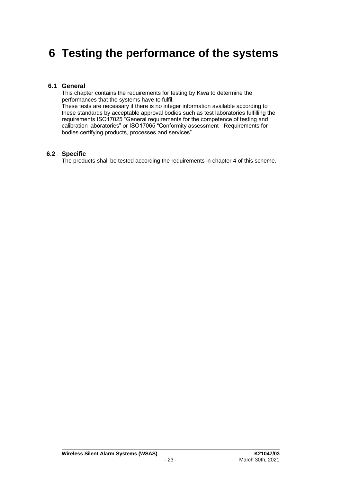# **6 Testing the performance of the systems**

### **6.1 General**

This chapter contains the requirements for testing by Kiwa to determine the performances that the systems have to fulfil. These tests are necessary if there is no integer information available according to these standards by acceptable approval bodies such as test laboratories fulfilling the requirements ISO17025 "General requirements for the competence of testing and calibration laboratories" or ISO17065 "Conformity assessment - Requirements for

bodies certifying products, processes and services".

### **6.2 Specific**

The products shall be tested according the requirements in chapter 4 of this scheme.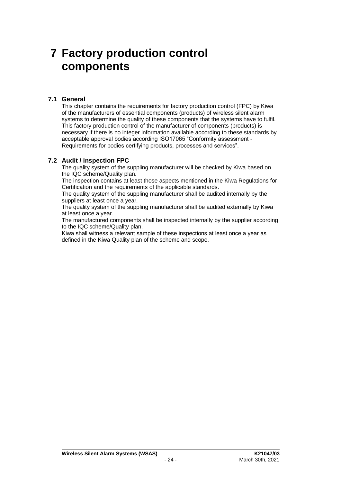# **7 Factory production control components**

# **7.1 General**

This chapter contains the requirements for factory production control (FPC) by Kiwa of the manufacturers of essential components (products) of wireless silent alarm systems to determine the quality of these components that the systems have to fulfil. This factory production control of the manufacturer of components (products) is necessary if there is no integer information available according to these standards by acceptable approval bodies according ISO17065 "Conformity assessment - Requirements for bodies certifying products, processes and services".

# **7.2 Audit / inspection FPC**

The quality system of the suppling manufacturer will be checked by Kiwa based on the IQC scheme/Quality plan.

The inspection contains at least those aspects mentioned in the Kiwa Regulations for Certification and the requirements of the applicable standards.

The quality system of the suppling manufacturer shall be audited internally by the suppliers at least once a year.

The quality system of the suppling manufacturer shall be audited externally by Kiwa at least once a year.

The manufactured components shall be inspected internally by the supplier according to the IQC scheme/Quality plan.

Kiwa shall witness a relevant sample of these inspections at least once a year as defined in the Kiwa Quality plan of the scheme and scope.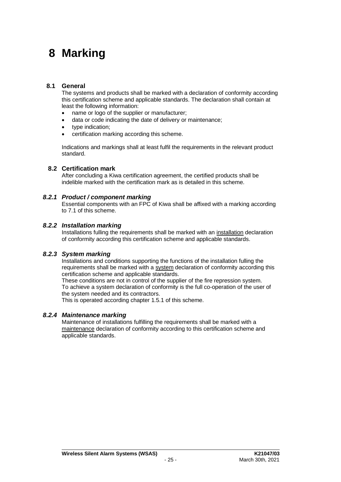# **8 Marking**

### **8.1 General**

The systems and products shall be marked with a declaration of conformity according this certification scheme and applicable standards. The declaration shall contain at least the following information:

- name or logo of the supplier or manufacturer;
- data or code indicating the date of delivery or maintenance;
- type indication:
- certification marking according this scheme.

Indications and markings shall at least fulfil the requirements in the relevant product standard.

### **8.2 Certification mark**

After concluding a Kiwa certification agreement, the certified products shall be indelible marked with the certification mark as is detailed in this scheme.

### *8.2.1 Product / component marking*

Essential components with an FPC of Kiwa shall be affixed with a marking according to 7.1 of this scheme.

### *8.2.2 Installation marking*

Installations fulling the requirements shall be marked with an installation declaration of conformity according this certification scheme and applicable standards.

# *8.2.3 System marking*

Installations and conditions supporting the functions of the installation fulling the requirements shall be marked with a system declaration of conformity according this certification scheme and applicable standards.

These conditions are not in control of the supplier of the fire repression system. To achieve a system declaration of conformity is the full co-operation of the user of the system needed and its contractors.

This is operated according chapter 1.5.1 of this scheme.

#### *8.2.4 Maintenance marking*

Maintenance of installations fulfilling the requirements shall be marked with a maintenance declaration of conformity according to this certification scheme and applicable standards.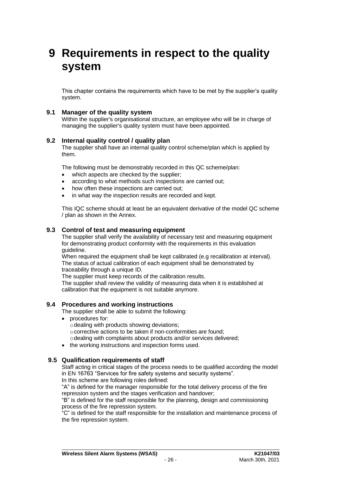# **9 Requirements in respect to the quality system**

This chapter contains the requirements which have to be met by the supplier's quality system.

### **9.1 Manager of the quality system**

Within the supplier's organisational structure, an employee who will be in charge of managing the supplier's quality system must have been appointed.

### **9.2 Internal quality control / quality plan**

The supplier shall have an internal quality control scheme/plan which is applied by them.

The following must be demonstrably recorded in this QC scheme/plan:

- which aspects are checked by the supplier;
- according to what methods such inspections are carried out;
- how often these inspections are carried out;
- in what way the inspection results are recorded and kept.

This IQC scheme should at least be an equivalent derivative of the model QC scheme / plan as shown in the Annex.

#### **9.3 Control of test and measuring equipment**

The supplier shall verify the availability of necessary test and measuring equipment for demonstrating product conformity with the requirements in this evaluation guideline.

When required the equipment shall be kept calibrated (e.g recalibration at interval). The status of actual calibration of each equipment shall be demonstrated by traceability through a unique ID.

The supplier must keep records of the calibration results.

The supplier shall review the validity of measuring data when it is established at calibration that the equipment is not suitable anymore.

#### **9.4 Procedures and working instructions**

The supplier shall be able to submit the following:

- procedures for:
	- $\circ$  dealing with products showing deviations; ocorrective actions to be taken if non-conformities are found;
	- odealing with complaints about products and/or services delivered;
- the working instructions and inspection forms used.

#### **9.5 Qualification requirements of staff**

Staff acting in critical stages of the process needs to be qualified according the model in EN 16763 "Services for fire safety systems and security systems".

In this scheme are following roles defined:

"A" is defined for the manager responsible for the total delivery process of the fire repression system and the stages verification and handover;

"B" is defined for the staff responsible for the planning, design and commissioning process of the fire repression system.

"C" is defined for the staff responsible for the installation and maintenance process of the fire repression system.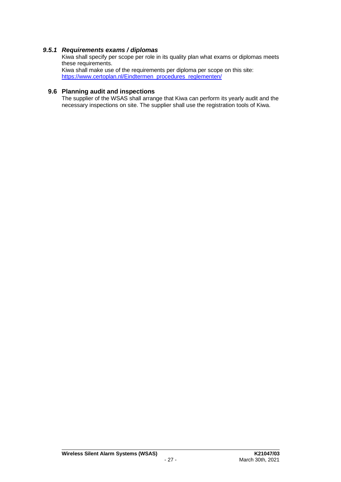# *9.5.1 Requirements exams / diplomas*

Kiwa shall specify per scope per role in its quality plan what exams or diplomas meets these requirements. Kiwa shall make use of the requirements per diploma per scope on this site: [https://www.certoplan.nl/Eindtermen\\_procedures\\_reglementen/](https://www.certoplan.nl/Eindtermen_procedures_reglementen/)

# **9.6 Planning audit and inspections**

The supplier of the WSAS shall arrange that Kiwa can perform its yearly audit and the necessary inspections on site. The supplier shall use the registration tools of Kiwa.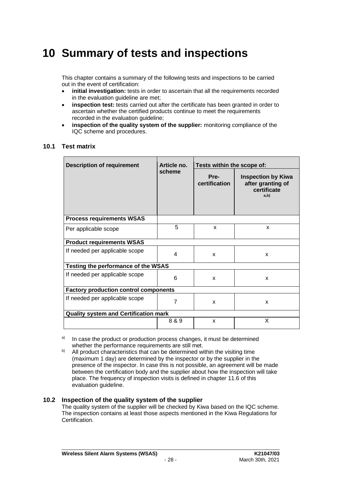# **10 Summary of tests and inspections**

This chapter contains a summary of the following tests and inspections to be carried out in the event of certification:

- **initial investigation:** tests in order to ascertain that all the requirements recorded in the evaluation quideline are met:
- **inspection test:** tests carried out after the certificate has been granted in order to ascertain whether the certified products continue to meet the requirements recorded in the evaluation guideline;
- **inspection of the quality system of the supplier:** monitoring compliance of the IQC scheme and procedures.

# **10.1 Test matrix**

 $\blacksquare$ 

| <b>Description of requirement</b>            | Article no. | Tests within the scope of: |                                                                       |  |
|----------------------------------------------|-------------|----------------------------|-----------------------------------------------------------------------|--|
|                                              | scheme      | Pre-<br>certification      | <b>Inspection by Kiwa</b><br>after granting of<br>certificate<br>a,b) |  |
| <b>Process requirements WSAS</b>             |             |                            |                                                                       |  |
| Per applicable scope                         | 5           | X                          | $\mathbf{x}$                                                          |  |
| <b>Product requirements WSAS</b>             |             |                            |                                                                       |  |
| If needed per applicable scope               | 4           | X                          | X                                                                     |  |
| Testing the performance of the WSAS          |             |                            |                                                                       |  |
| If needed per applicable scope               | 6           | X                          | X                                                                     |  |
| <b>Factory production control components</b> |             |                            |                                                                       |  |
| If needed per applicable scope               | 7           | X                          | X                                                                     |  |
| <b>Quality system and Certification mark</b> |             |                            |                                                                       |  |
|                                              | 8 & 9       | X                          | X                                                                     |  |

<sup>a)</sup> In case the product or production process changes, it must be determined whether the performance requirements are still met.

b) All product characteristics that can be determined within the visiting time (maximum 1 day) are determined by the inspector or by the supplier in the presence of the inspector. In case this is not possible, an agreement will be made between the certification body and the supplier about how the inspection will take place. The frequency of inspection visits is defined in chapter [11.6](#page-31-0) of this evaluation guideline.

#### **10.2 Inspection of the quality system of the supplier**

The quality system of the supplier will be checked by Kiwa based on the IQC scheme. The inspection contains at least those aspects mentioned in the Kiwa Regulations for Certification.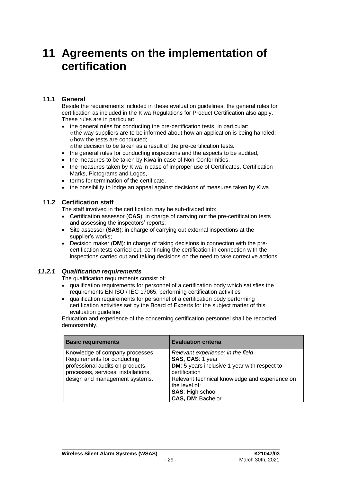# **11 Agreements on the implementation of certification**

# **11.1 General**

Beside the requirements included in these evaluation guidelines, the general rules for certification as included in the Kiwa Regulations for Product Certification also apply. These rules are in particular:

- the general rules for conducting the pre-certification tests, in particular:  $\circ$  the way suppliers are to be informed about how an application is being handled; ohow the tests are conducted;
	- othe decision to be taken as a result of the pre-certification tests.
- the general rules for conducting inspections and the aspects to be audited,
- the measures to be taken by Kiwa in case of Non-Conformities,
- the measures taken by Kiwa in case of improper use of Certificates, Certification Marks, Pictograms and Logos,
- terms for termination of the certificate.
- the possibility to lodge an appeal against decisions of measures taken by Kiwa.

# **11.2 Certification staff**

The staff involved in the certification may be sub-divided into:

- Certification assessor (**CAS**): in charge of carrying out the pre-certification tests and assessing the inspectors' reports;
- Site assessor (**SAS**): in charge of carrying out external inspections at the supplier's works;
- Decision maker (**DM**): in charge of taking decisions in connection with the precertification tests carried out, continuing the certification in connection with the inspections carried out and taking decisions on the need to take corrective actions.

# *11.2.1 Qualification requirements*

The qualification requirements consist of:

- qualification requirements for personnel of a certification body which satisfies the requirements EN ISO / IEC 17065, performing certification activities
- qualification requirements for personnel of a certification body performing certification activities set by the Board of Experts for the subject matter of this evaluation quideline

Education and experience of the concerning certification personnel shall be recorded demonstrably.

| <b>Basic requirements</b>                                                                                                                                                  | <b>Evaluation criteria</b>                                                                                                                                                                                                                |
|----------------------------------------------------------------------------------------------------------------------------------------------------------------------------|-------------------------------------------------------------------------------------------------------------------------------------------------------------------------------------------------------------------------------------------|
| Knowledge of company processes<br>Requirements for conducting<br>professional audits on products,<br>processes, services, installations,<br>design and management systems. | Relevant experience: in the field<br>SAS, CAS: 1 year<br>DM: 5 years inclusive 1 year with respect to<br>certification<br>Relevant technical knowledge and experience on<br>the level of:<br><b>SAS: High school</b><br>CAS, DM: Bachelor |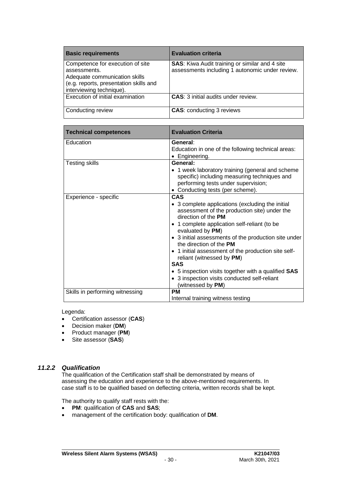| <b>Basic requirements</b>                                                                                                                               | <b>Evaluation criteria</b>                                                                               |
|---------------------------------------------------------------------------------------------------------------------------------------------------------|----------------------------------------------------------------------------------------------------------|
| Competence for execution of site<br>assessments.<br>Adequate communication skills<br>(e.g. reports, presentation skills and<br>interviewing technique). | <b>SAS:</b> Kiwa Audit training or similar and 4 site<br>assessments including 1 autonomic under review. |
| Execution of initial examination                                                                                                                        | <b>CAS: 3 initial audits under review.</b>                                                               |
| Conducting review                                                                                                                                       | <b>CAS: conducting 3 reviews</b>                                                                         |

| <b>Technical competences</b>    | <b>Evaluation Criteria</b>                                                                                                                                                                                                                                                                                                                                                                                                                                                                                          |
|---------------------------------|---------------------------------------------------------------------------------------------------------------------------------------------------------------------------------------------------------------------------------------------------------------------------------------------------------------------------------------------------------------------------------------------------------------------------------------------------------------------------------------------------------------------|
| Education                       | General:<br>Education in one of the following technical areas:<br>• Engineering.                                                                                                                                                                                                                                                                                                                                                                                                                                    |
| <b>Testing skills</b>           | General:<br>• 1 week laboratory training (general and scheme<br>specific) including measuring techniques and<br>performing tests under supervision;<br>• Conducting tests (per scheme).                                                                                                                                                                                                                                                                                                                             |
| Experience - specific           | CAS<br>• 3 complete applications (excluding the initial<br>assessment of the production site) under the<br>direction of the PM<br>• 1 complete application self-reliant (to be<br>evaluated by PM)<br>• 3 initial assessments of the production site under<br>the direction of the PM<br>• 1 initial assessment of the production site self-<br>reliant (witnessed by PM)<br><b>SAS</b><br>• 5 inspection visits together with a qualified SAS<br>• 3 inspection visits conducted self-reliant<br>(witnessed by PM) |
| Skills in performing witnessing | <b>PM</b><br>Internal training witness testing                                                                                                                                                                                                                                                                                                                                                                                                                                                                      |

### Legenda:

- Certification assessor (**CAS**)
- Decision maker (**DM**)
- Product manager (**PM**)
- Site assessor (**SAS**)

# *11.2.2 Qualification*

The qualification of the Certification staff shall be demonstrated by means of assessing the education and experience to the above-mentioned requirements. In case staff is to be qualified based on deflecting criteria, written records shall be kept.

The authority to qualify staff rests with the:

- **PM**: qualification of **CAS** and **SAS**;
- management of the certification body: qualification of **DM**.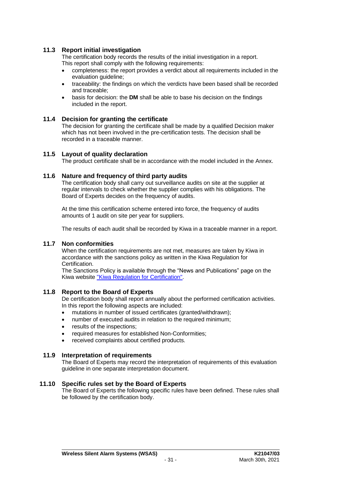# **11.3 Report initial investigation**

The certification body records the results of the initial investigation in a report. This report shall comply with the following requirements:

- completeness: the report provides a verdict about all requirements included in the evaluation guideline;
- traceability: the findings on which the verdicts have been based shall be recorded and traceable;
- basis for decision: the **DM** shall be able to base his decision on the findings included in the report.

#### **11.4 Decision for granting the certificate**

The decision for granting the certificate shall be made by a qualified Decision maker which has not been involved in the pre-certification tests. The decision shall be recorded in a traceable manner.

#### **11.5 Layout of quality declaration**

<span id="page-31-0"></span>The product certificate shall be in accordance with the model included in the Annex.

### **11.6 Nature and frequency of third party audits**

The certification body shall carry out surveillance audits on site at the supplier at regular intervals to check whether the supplier complies with his obligations. The Board of Experts decides on the frequency of audits.

At the time this certification scheme entered into force, the frequency of audits amounts of 1 audit on site per year for suppliers.

The results of each audit shall be recorded by Kiwa in a traceable manner in a report.

#### **11.7 Non conformities**

When the certification requirements are not met, measures are taken by Kiwa in accordance with the sanctions policy as written in the Kiwa Regulation for Certification.

The Sanctions Policy is available through the "News and Publications" page on the Kiwa website ["Kiwa Regulation for Certification".](https://www.kiwa.nl/uploadedFiles/Nieuws_en_publicaties/Kiwa%20Regulation%20for%20Certification.pdf)

#### **11.8 Report to the Board of Experts**

De certification body shall report annually about the performed certification activities. In this report the following aspects are included:

- mutations in number of issued certificates (granted/withdrawn);
- number of executed audits in relation to the required minimum;
- results of the inspections:
- required measures for established Non-Conformities;
- received complaints about certified products.

#### **11.9 Interpretation of requirements**

The Board of Experts may record the interpretation of requirements of this evaluation guideline in one separate interpretation document.

#### **11.10 Specific rules set by the Board of Experts**

The Board of Experts the following specific rules have been defined. These rules shall be followed by the certification body.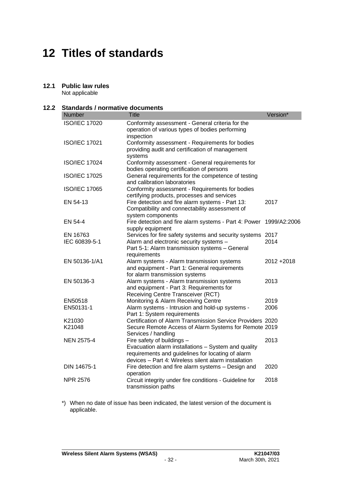# **12 Titles of standards**

# **12.1 Public law rules**

Not applicable

### **12.2 Standards / normative documents**

| <b>Number</b>             | <b>Title</b>                                                                                                                                                                                   | Version*     |
|---------------------------|------------------------------------------------------------------------------------------------------------------------------------------------------------------------------------------------|--------------|
| <b>ISO/IEC 17020</b>      | Conformity assessment - General criteria for the<br>operation of various types of bodies performing<br>inspection                                                                              |              |
| <b>ISO/IEC 17021</b>      | Conformity assessment - Requirements for bodies<br>providing audit and certification of management<br>systems                                                                                  |              |
| <b>ISO/IEC 17024</b>      | Conformity assessment - General requirements for<br>bodies operating certification of persons                                                                                                  |              |
| <b>ISO/IEC 17025</b>      | General requirements for the competence of testing<br>and calibration laboratories                                                                                                             |              |
| <b>ISO/IEC 17065</b>      | Conformity assessment - Requirements for bodies<br>certifying products, processes and services                                                                                                 |              |
| EN 54-13                  | Fire detection and fire alarm systems - Part 13:<br>Compatibility and connectability assessment of<br>system components                                                                        | 2017         |
| EN 54-4                   | Fire detection and fire alarm systems - Part 4: Power<br>supply equipment                                                                                                                      | 1999/A2:2006 |
| EN 16763<br>IEC 60839-5-1 | Services for fire safety systems and security systems 2017<br>Alarm and electronic security systems -<br>Part 5-1: Alarm transmission systems - General<br>requirements                        | 2014         |
| EN 50136-1/A1             | Alarm systems - Alarm transmission systems<br>and equipment - Part 1: General requirements<br>for alarm transmission systems                                                                   | 2012+2018    |
| EN 50136-3                | Alarm systems - Alarm transmission systems<br>and equipment - Part 3: Requirements for<br>Receiving Centre Transceiver (RCT)                                                                   | 2013         |
| EN50518                   | Monitoring & Alarm Receiving Centre                                                                                                                                                            | 2019         |
| EN50131-1                 | Alarm systems - Intrusion and hold-up systems -<br>Part 1: System requirements                                                                                                                 | 2006         |
| K21030                    | Certification of Alarm Transmission Service Providers 2020                                                                                                                                     |              |
| K21048                    | Secure Remote Access of Alarm Systems for Remote 2019<br>Services / handling                                                                                                                   |              |
| <b>NEN 2575-4</b>         | Fire safety of buildings -<br>Evacuation alarm installations - System and quality<br>requirements and guidelines for locating of alarm<br>devices - Part 4: Wireless silent alarm installation | 2013         |
| DIN 14675-1               | Fire detection and fire alarm systems - Design and<br>operation                                                                                                                                | 2020         |
| <b>NPR 2576</b>           | Circuit integrity under fire conditions - Guideline for<br>transmission paths                                                                                                                  | 2018         |

\*) When no date of issue has been indicated, the latest version of the document is applicable.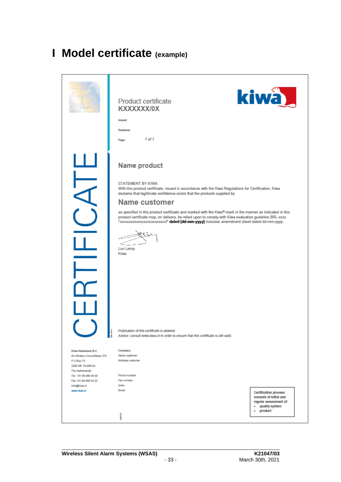# **I Model certificate (example)**